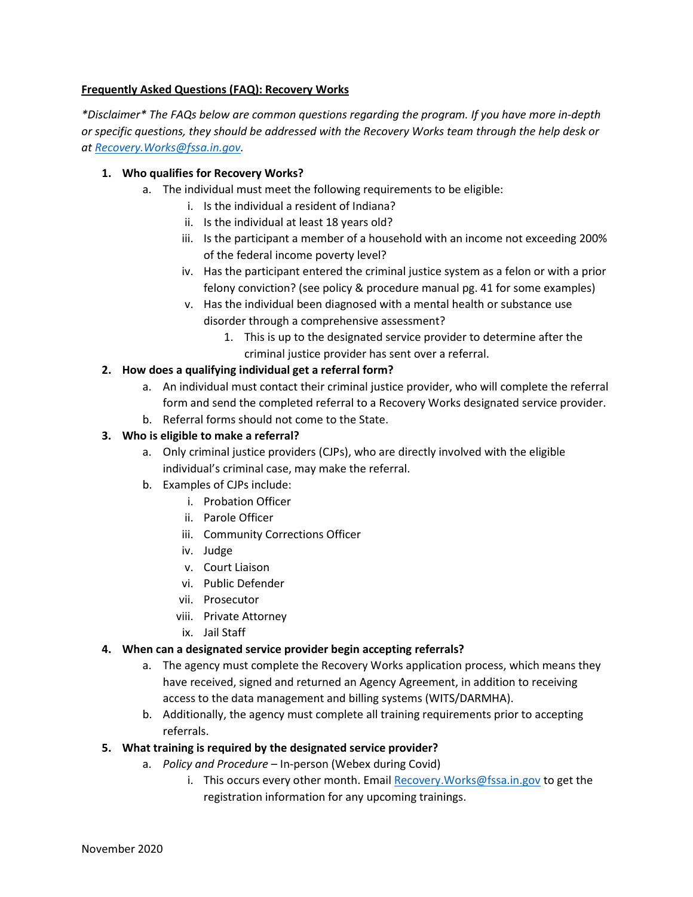# Frequently Asked Questions (FAQ): Recovery Works

 \*Disclaimer\* The FAQs below are common questions regarding the program. If you have more in-depth or specific questions, they should be addressed with the Recovery Works team through the help desk or at <u>Recovery.Works@fssa.in.gov</u>.

## 1. Who qualifies for Recovery Works?

- a. The individual must meet the following requirements to be eligible:
	- i. Is the individual a resident of Indiana?
	- ii. Is the individual at least 18 years old?
	- iii. Is the participant a member of a household with an income not exceeding 200% of the federal income poverty level?
	- iv. Has the participant entered the criminal justice system as a felon or with a prior felony conviction? (see policy & procedure manual pg. 41 for some examples)
	- v. Has the individual been diagnosed with a mental health or substance use disorder through a comprehensive assessment?
		- 1. This is up to the designated service provider to determine after the criminal justice provider has sent over a referral.

# 2. How does a qualifying individual get a referral form?

- a. An individual must contact their criminal justice provider, who will complete the referral form and send the completed referral to a Recovery Works designated service provider.
- b. Referral forms should not come to the State.

# 3. Who is eligible to make a referral?

- a. Only criminal justice providers (CJPs), who are directly involved with the eligible individual's criminal case, may make the referral.
- b. Examples of CJPs include:
	- i. Probation Officer
	- ii. Parole Officer
	- iii. Community Corrections Officer
	- iv. Judge
	- v. Court Liaison
	- vi. Public Defender
	- vii. Prosecutor
	- viii. Private Attorney
	- ix. Jail Staff

### 4. When can a designated service provider begin accepting referrals?

- a. The agency must complete the Recovery Works application process, which means they have received, signed and returned an Agency Agreement, in addition to receiving access to the data management and billing systems (WITS/DARMHA).
- b. Additionally, the agency must complete all training requirements prior to accepting referrals.
- 5. What training is required by the designated service provider?
	- a. Policy and Procedure In-person (Webex during Covid)
		- i. This occurs every other month. Email **[Recovery.Works@fssa.in.gov](mailto:Recovery.Works@fssa.in.gov)** to get the registration information for any upcoming trainings.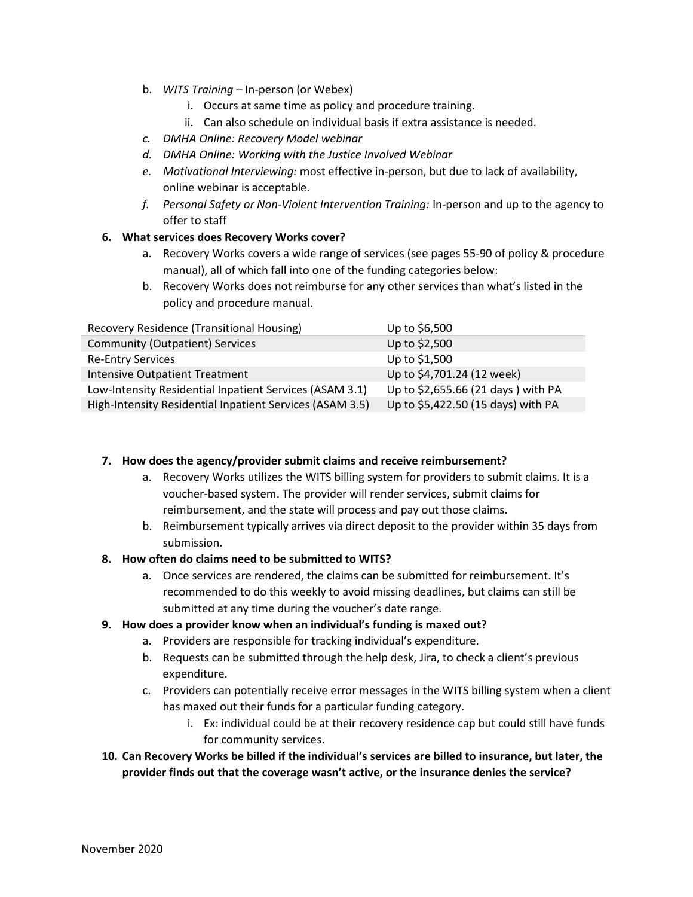- b. WITS Training In-person (or Webex)
	- i. Occurs at same time as policy and procedure training.
	- ii. Can also schedule on individual basis if extra assistance is needed.
- c. DMHA Online: Recovery Model webinar
- d. DMHA Online: Working with the Justice Involved Webinar
- e. Motivational Interviewing: most effective in-person, but due to lack of availability, online webinar is acceptable.
- f. Personal Safety or Non-Violent Intervention Training: In-person and up to the agency to offer to staff

# 6. What services does Recovery Works cover?

- a. Recovery Works covers a wide range of services (see pages 55-90 of policy & procedure manual), all of which fall into one of the funding categories below:
- b. Recovery Works does not reimburse for any other services than what's listed in the policy and procedure manual.

| Recovery Residence (Transitional Housing)                | Up to \$6,500                      |
|----------------------------------------------------------|------------------------------------|
| <b>Community (Outpatient) Services</b>                   | Up to \$2,500                      |
| <b>Re-Entry Services</b>                                 | Up to \$1,500                      |
| <b>Intensive Outpatient Treatment</b>                    | Up to \$4,701.24 (12 week)         |
| Low-Intensity Residential Inpatient Services (ASAM 3.1)  | Up to \$2,655.66 (21 days) with PA |
| High-Intensity Residential Inpatient Services (ASAM 3.5) | Up to \$5,422.50 (15 days) with PA |

### 7. How does the agency/provider submit claims and receive reimbursement?

- a. Recovery Works utilizes the WITS billing system for providers to submit claims. It is a voucher-based system. The provider will render services, submit claims for reimbursement, and the state will process and pay out those claims.
- b. Reimbursement typically arrives via direct deposit to the provider within 35 days from submission.

### 8. How often do claims need to be submitted to WITS?

 a. Once services are rendered, the claims can be submitted for reimbursement. It's recommended to do this weekly to avoid missing deadlines, but claims can still be submitted at any time during the voucher's date range.

### 9. How does a provider know when an individual's funding is maxed out?

- a. Providers are responsible for tracking individual's expenditure.
- b. Requests can be submitted through the help desk, Jira, to check a client's previous expenditure.
- c. Providers can potentially receive error messages in the WITS billing system when a client has maxed out their funds for a particular funding category.
	- i. Ex: individual could be at their recovery residence cap but could still have funds for community services.
- 10. Can Recovery Works be billed if the individual's services are billed to insurance, but later, the provider finds out that the coverage wasn't active, or the insurance denies the service?